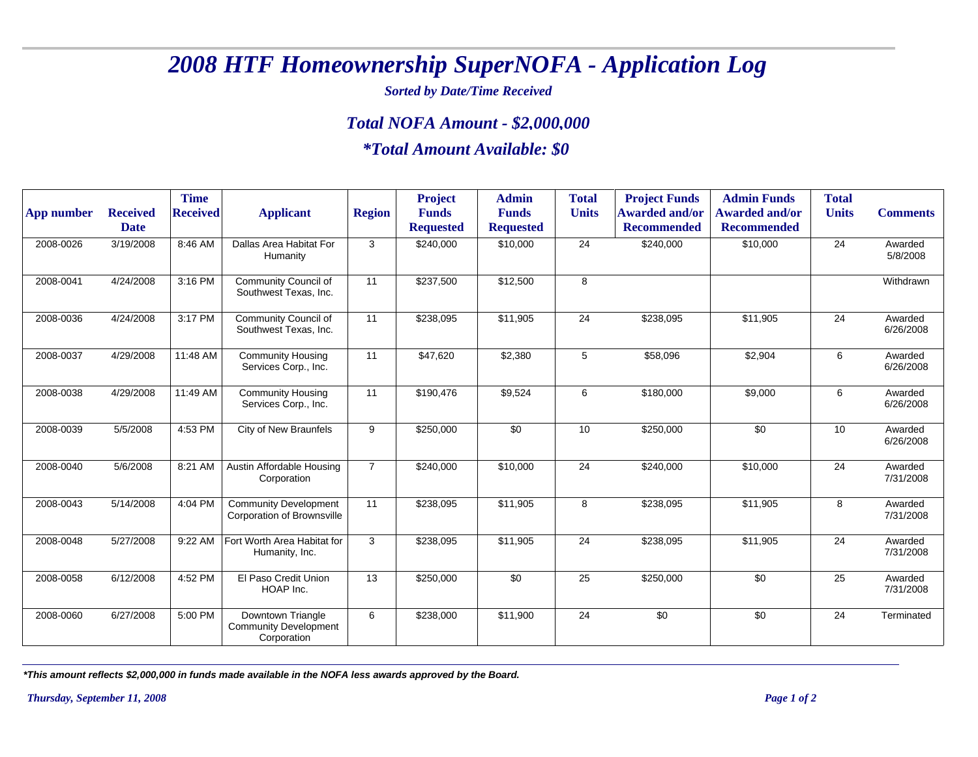## *2008 HTF Homeownership SuperNOFA - Application Log*

*Sorted by Date/Time Received*

## *Total NOFA Amount - \$2,000,000*

## *\*Total Amount Available: \$0*

| <b>App number</b> | <b>Received</b> | <b>Time</b><br><b>Received</b> | <b>Applicant</b>                                                  | <b>Region</b>  | <b>Project</b><br><b>Funds</b> | <b>Admin</b><br><b>Funds</b> | <b>Total</b><br><b>Units</b> | <b>Project Funds</b><br><b>Awarded and/or</b> | <b>Admin Funds</b><br><b>Awarded and/or</b> | <b>Total</b><br><b>Units</b> | <b>Comments</b>      |
|-------------------|-----------------|--------------------------------|-------------------------------------------------------------------|----------------|--------------------------------|------------------------------|------------------------------|-----------------------------------------------|---------------------------------------------|------------------------------|----------------------|
|                   | <b>Date</b>     |                                |                                                                   |                | <b>Requested</b>               | <b>Requested</b>             |                              | <b>Recommended</b>                            | <b>Recommended</b>                          |                              |                      |
| 2008-0026         | 3/19/2008       | 8:46 AM                        | Dallas Area Habitat For<br>Humanity                               | 3              | \$240,000                      | \$10,000                     | 24                           | \$240,000                                     | \$10,000                                    | 24                           | Awarded<br>5/8/2008  |
| 2008-0041         | 4/24/2008       | 3:16 PM                        | Community Council of<br>Southwest Texas, Inc.                     | 11             | \$237,500                      | \$12,500                     | 8                            |                                               |                                             |                              | Withdrawn            |
| 2008-0036         | 4/24/2008       | 3:17 PM                        | Community Council of<br>Southwest Texas, Inc.                     | 11             | \$238,095                      | \$11,905                     | 24                           | \$238,095                                     | \$11,905                                    | 24                           | Awarded<br>6/26/2008 |
| 2008-0037         | 4/29/2008       | 11:48 AM                       | <b>Community Housing</b><br>Services Corp., Inc.                  | 11             | \$47,620                       | \$2,380                      | 5                            | \$58,096                                      | \$2,904                                     | 6                            | Awarded<br>6/26/2008 |
| 2008-0038         | 4/29/2008       | 11:49 AM                       | <b>Community Housing</b><br>Services Corp., Inc.                  | 11             | \$190,476                      | \$9,524                      | 6                            | \$180,000                                     | \$9,000                                     | 6                            | Awarded<br>6/26/2008 |
| 2008-0039         | 5/5/2008        | 4:53 PM                        | City of New Braunfels                                             | 9              | \$250,000                      | \$0                          | 10                           | \$250,000                                     | \$0                                         | 10                           | Awarded<br>6/26/2008 |
| 2008-0040         | 5/6/2008        | 8:21 AM                        | Austin Affordable Housing<br>Corporation                          | $\overline{7}$ | \$240,000                      | \$10,000                     | 24                           | \$240,000                                     | \$10,000                                    | 24                           | Awarded<br>7/31/2008 |
| 2008-0043         | 5/14/2008       | 4:04 PM                        | <b>Community Development</b><br><b>Corporation of Brownsville</b> | 11             | \$238,095                      | \$11,905                     | 8                            | \$238,095                                     | \$11,905                                    | 8                            | Awarded<br>7/31/2008 |
| 2008-0048         | 5/27/2008       | 9:22 AM                        | Fort Worth Area Habitat for<br>Humanity, Inc.                     | 3              | \$238,095                      | \$11,905                     | 24                           | \$238,095                                     | \$11,905                                    | 24                           | Awarded<br>7/31/2008 |
| 2008-0058         | 6/12/2008       | 4:52 PM                        | El Paso Credit Union<br>HOAP Inc.                                 | 13             | \$250,000                      | \$0                          | 25                           | \$250,000                                     | \$0                                         | 25                           | Awarded<br>7/31/2008 |
| 2008-0060         | 6/27/2008       | 5:00 PM                        | Downtown Triangle<br><b>Community Development</b><br>Corporation  | 6              | \$238,000                      | \$11,900                     | 24                           | \$0                                           | \$0                                         | 24                           | Terminated           |

*\*This amount reflects \$2,000,000 in funds made available in the NOFA less awards approved by the Board.*